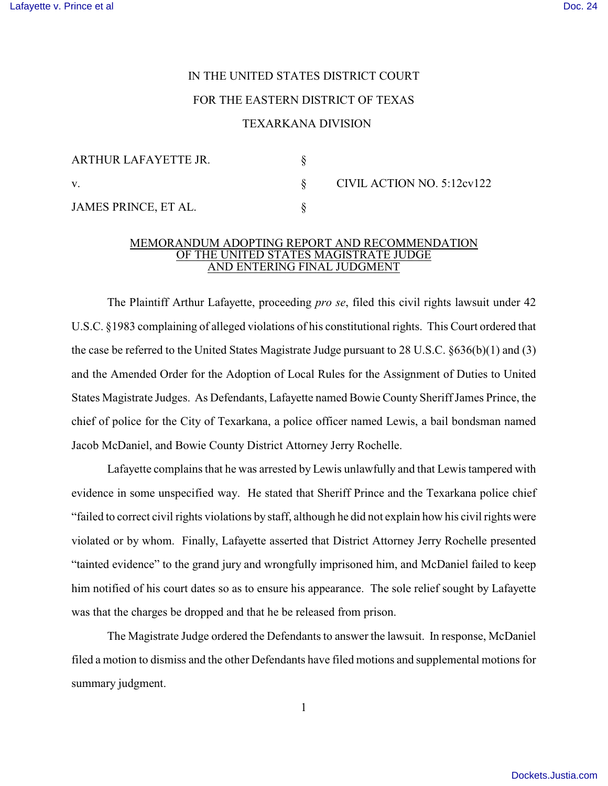# IN THE UNITED STATES DISTRICT COURT

## FOR THE EASTERN DISTRICT OF TEXAS

### TEXARKANA DIVISION

| ARTHUR LAFAYETTE JR. |  |
|----------------------|--|
|                      |  |
| JAMES PRINCE, ET AL. |  |

CIVIL ACTION NO.  $5:12ev122$ 

#### MEMORANDUM ADOPTING REPORT AND RECOMMENDATION OF THE UNITED STATES MAGISTRATE JUDGE AND ENTERING FINAL JUDGMENT

The Plaintiff Arthur Lafayette, proceeding *pro se*, filed this civil rights lawsuit under 42 U.S.C. §1983 complaining of alleged violations of his constitutional rights. This Court ordered that the case be referred to the United States Magistrate Judge pursuant to 28 U.S.C. §636(b)(1) and (3) and the Amended Order for the Adoption of Local Rules for the Assignment of Duties to United States Magistrate Judges. As Defendants, Lafayette named Bowie County Sheriff James Prince, the chief of police for the City of Texarkana, a police officer named Lewis, a bail bondsman named Jacob McDaniel, and Bowie County District Attorney Jerry Rochelle.

Lafayette complains that he was arrested by Lewis unlawfully and that Lewis tampered with evidence in some unspecified way. He stated that Sheriff Prince and the Texarkana police chief "failed to correct civil rights violations by staff, although he did not explain how his civil rights were violated or by whom. Finally, Lafayette asserted that District Attorney Jerry Rochelle presented "tainted evidence" to the grand jury and wrongfully imprisoned him, and McDaniel failed to keep him notified of his court dates so as to ensure his appearance. The sole relief sought by Lafayette was that the charges be dropped and that he be released from prison.

The Magistrate Judge ordered the Defendants to answer the lawsuit. In response, McDaniel filed a motion to dismiss and the other Defendants have filed motions and supplemental motions for summary judgment.